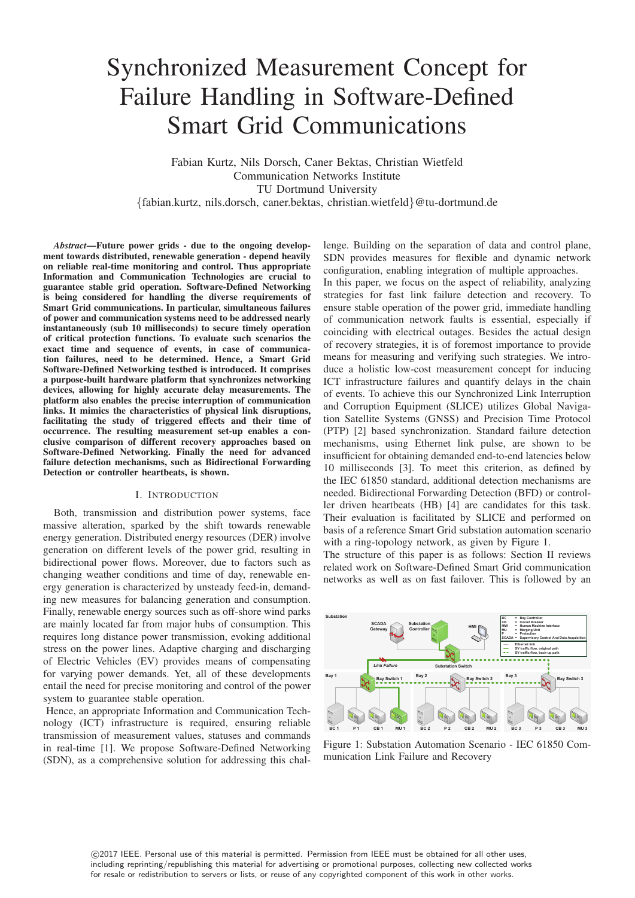# Synchronized Measurement Concept for Failure Handling in Software-Defined Smart Grid Communications

Fabian Kurtz, Nils Dorsch, Caner Bektas, Christian Wietfeld Communication Networks Institute TU Dortmund University {fabian.kurtz, nils.dorsch, caner.bektas, christian.wietfeld}@tu-dortmund.de

*Abstract*—Future power grids - due to the ongoing development towards distributed, renewable generation - depend heavily on reliable real-time monitoring and control. Thus appropriate Information and Communication Technologies are crucial to guarantee stable grid operation. Software-Defined Networking is being considered for handling the diverse requirements of Smart Grid communications. In particular, simultaneous failures of power and communication systems need to be addressed nearly instantaneously (sub 10 milliseconds) to secure timely operation of critical protection functions. To evaluate such scenarios the exact time and sequence of events, in case of communication failures, need to be determined. Hence, a Smart Grid Software-Defined Networking testbed is introduced. It comprises a purpose-built hardware platform that synchronizes networking devices, allowing for highly accurate delay measurements. The platform also enables the precise interruption of communication links. It mimics the characteristics of physical link disruptions, facilitating the study of triggered effects and their time of occurrence. The resulting measurement set-up enables a conclusive comparison of different recovery approaches based on Software-Defined Networking. Finally the need for advanced failure detection mechanisms, such as Bidirectional Forwarding Detection or controller heartbeats, is shown.

#### I. INTRODUCTION

Both, transmission and distribution power systems, face massive alteration, sparked by the shift towards renewable energy generation. Distributed energy resources (DER) involve generation on different levels of the power grid, resulting in bidirectional power flows. Moreover, due to factors such as changing weather conditions and time of day, renewable energy generation is characterized by unsteady feed-in, demanding new measures for balancing generation and consumption. Finally, renewable energy sources such as off-shore wind parks are mainly located far from major hubs of consumption. This requires long distance power transmission, evoking additional stress on the power lines. Adaptive charging and discharging of Electric Vehicles (EV) provides means of compensating for varying power demands. Yet, all of these developments entail the need for precise monitoring and control of the power system to guarantee stable operation.

Hence, an appropriate Information and Communication Technology (ICT) infrastructure is required, ensuring reliable transmission of measurement values, statuses and commands in real-time [1]. We propose Software-Defined Networking (SDN), as a comprehensive solution for addressing this challenge. Building on the separation of data and control plane, SDN provides measures for flexible and dynamic network configuration, enabling integration of multiple approaches.

In this paper, we focus on the aspect of reliability, analyzing strategies for fast link failure detection and recovery. To ensure stable operation of the power grid, immediate handling of communication network faults is essential, especially if coinciding with electrical outages. Besides the actual design of recovery strategies, it is of foremost importance to provide means for measuring and verifying such strategies. We introduce a holistic low-cost measurement concept for inducing ICT infrastructure failures and quantify delays in the chain of events. To achieve this our Synchronized Link Interruption and Corruption Equipment (SLICE) utilizes Global Navigation Satellite Systems (GNSS) and Precision Time Protocol (PTP) [2] based synchronization. Standard failure detection mechanisms, using Ethernet link pulse, are shown to be insufficient for obtaining demanded end-to-end latencies below 10 milliseconds [3]. To meet this criterion, as defined by the IEC 61850 standard, additional detection mechanisms are needed. Bidirectional Forwarding Detection (BFD) or controller driven heartbeats (HB) [4] are candidates for this task. Their evaluation is facilitated by SLICE and performed on basis of a reference Smart Grid substation automation scenario with a ring-topology network, as given by Figure 1.

The structure of this paper is as follows: Section II reviews related work on Software-Defined Smart Grid communication networks as well as on fast failover. This is followed by an



Figure 1: Substation Automation Scenario - IEC 61850 Communication Link Failure and Recovery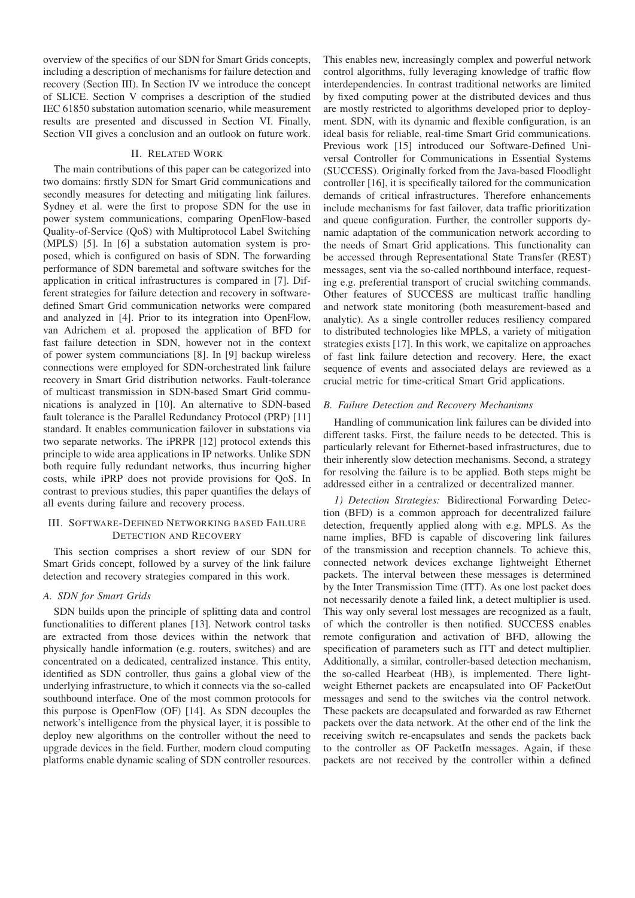overview of the specifics of our SDN for Smart Grids concepts, including a description of mechanisms for failure detection and recovery (Section III). In Section IV we introduce the concept of SLICE. Section V comprises a description of the studied IEC 61850 substation automation scenario, while measurement results are presented and discussed in Section VI. Finally, Section VII gives a conclusion and an outlook on future work.

#### II. RELATED WORK

The main contributions of this paper can be categorized into two domains: firstly SDN for Smart Grid communications and secondly measures for detecting and mitigating link failures. Sydney et al. were the first to propose SDN for the use in power system communications, comparing OpenFlow-based Quality-of-Service (QoS) with Multiprotocol Label Switching (MPLS) [5]. In [6] a substation automation system is proposed, which is configured on basis of SDN. The forwarding performance of SDN baremetal and software switches for the application in critical infrastructures is compared in [7]. Different strategies for failure detection and recovery in softwaredefined Smart Grid communication networks were compared and analyzed in [4]. Prior to its integration into OpenFlow, van Adrichem et al. proposed the application of BFD for fast failure detection in SDN, however not in the context of power system communciations [8]. In [9] backup wireless connections were employed for SDN-orchestrated link failure recovery in Smart Grid distribution networks. Fault-tolerance of multicast transmission in SDN-based Smart Grid communications is analyzed in [10]. An alternative to SDN-based fault tolerance is the Parallel Redundancy Protocol (PRP) [11] standard. It enables communication failover in substations via two separate networks. The iPRPR [12] protocol extends this principle to wide area applications in IP networks. Unlike SDN both require fully redundant networks, thus incurring higher costs, while iPRP does not provide provisions for QoS. In contrast to previous studies, this paper quantifies the delays of all events during failure and recovery process.

#### III. SOFTWARE-DEFINED NETWORKING BASED FAILURE DETECTION AND RECOVERY

This section comprises a short review of our SDN for Smart Grids concept, followed by a survey of the link failure detection and recovery strategies compared in this work.

## *A. SDN for Smart Grids*

SDN builds upon the principle of splitting data and control functionalities to different planes [13]. Network control tasks are extracted from those devices within the network that physically handle information (e.g. routers, switches) and are concentrated on a dedicated, centralized instance. This entity, identified as SDN controller, thus gains a global view of the underlying infrastructure, to which it connects via the so-called southbound interface. One of the most common protocols for this purpose is OpenFlow (OF) [14]. As SDN decouples the network's intelligence from the physical layer, it is possible to deploy new algorithms on the controller without the need to upgrade devices in the field. Further, modern cloud computing platforms enable dynamic scaling of SDN controller resources.

This enables new, increasingly complex and powerful network control algorithms, fully leveraging knowledge of traffic flow interdependencies. In contrast traditional networks are limited by fixed computing power at the distributed devices and thus are mostly restricted to algorithms developed prior to deployment. SDN, with its dynamic and flexible configuration, is an ideal basis for reliable, real-time Smart Grid communications. Previous work [15] introduced our Software-Defined Universal Controller for Communications in Essential Systems (SUCCESS). Originally forked from the Java-based Floodlight controller [16], it is specifically tailored for the communication demands of critical infrastructures. Therefore enhancements include mechanisms for fast failover, data traffic prioritization and queue configuration. Further, the controller supports dynamic adaptation of the communication network according to the needs of Smart Grid applications. This functionality can be accessed through Representational State Transfer (REST) messages, sent via the so-called northbound interface, requesting e.g. preferential transport of crucial switching commands. Other features of SUCCESS are multicast traffic handling and network state monitoring (both measurement-based and analytic). As a single controller reduces resiliency compared to distributed technologies like MPLS, a variety of mitigation strategies exists [17]. In this work, we capitalize on approaches of fast link failure detection and recovery. Here, the exact sequence of events and associated delays are reviewed as a crucial metric for time-critical Smart Grid applications.

#### *B. Failure Detection and Recovery Mechanisms*

Handling of communication link failures can be divided into different tasks. First, the failure needs to be detected. This is particularly relevant for Ethernet-based infrastructures, due to their inherently slow detection mechanisms. Second, a strategy for resolving the failure is to be applied. Both steps might be addressed either in a centralized or decentralized manner.

*1) Detection Strategies:* Bidirectional Forwarding Detection (BFD) is a common approach for decentralized failure detection, frequently applied along with e.g. MPLS. As the name implies, BFD is capable of discovering link failures of the transmission and reception channels. To achieve this, connected network devices exchange lightweight Ethernet packets. The interval between these messages is determined by the Inter Transmission Time (ITT). As one lost packet does not necessarily denote a failed link, a detect multiplier is used. This way only several lost messages are recognized as a fault, of which the controller is then notified. SUCCESS enables remote configuration and activation of BFD, allowing the specification of parameters such as ITT and detect multiplier. Additionally, a similar, controller-based detection mechanism, the so-called Hearbeat (HB), is implemented. There lightweight Ethernet packets are encapsulated into OF PacketOut messages and send to the switches via the control network. These packets are decapsulated and forwarded as raw Ethernet packets over the data network. At the other end of the link the receiving switch re-encapsulates and sends the packets back to the controller as OF PacketIn messages. Again, if these packets are not received by the controller within a defined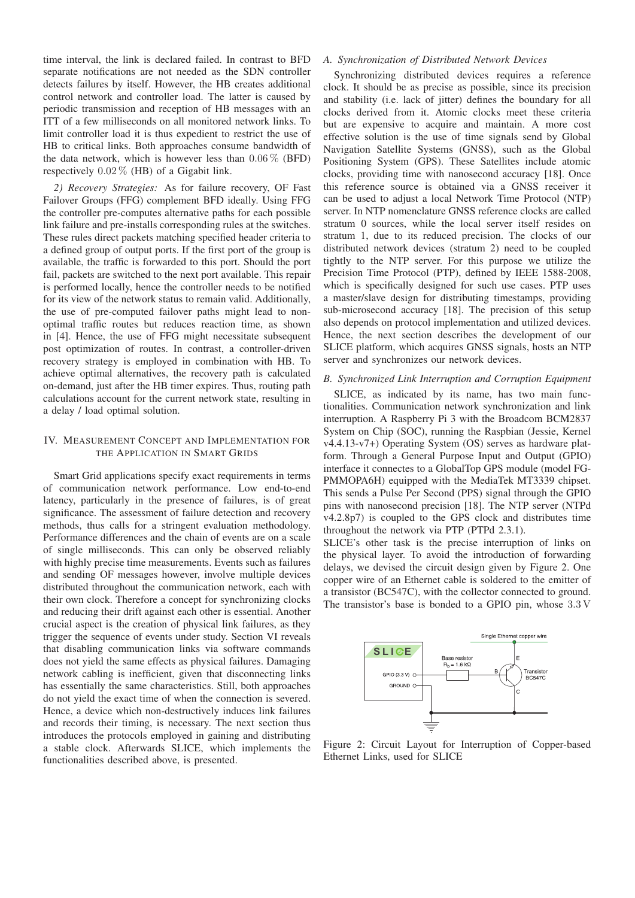time interval, the link is declared failed. In contrast to BFD separate notifications are not needed as the SDN controller detects failures by itself. However, the HB creates additional control network and controller load. The latter is caused by periodic transmission and reception of HB messages with an ITT of a few milliseconds on all monitored network links. To limit controller load it is thus expedient to restrict the use of HB to critical links. Both approaches consume bandwidth of the data network, which is however less than  $0.06\%$  (BFD) respectively 0.02 % (HB) of a Gigabit link.

*2) Recovery Strategies:* As for failure recovery, OF Fast Failover Groups (FFG) complement BFD ideally. Using FFG the controller pre-computes alternative paths for each possible link failure and pre-installs corresponding rules at the switches. These rules direct packets matching specified header criteria to a defined group of output ports. If the first port of the group is available, the traffic is forwarded to this port. Should the port fail, packets are switched to the next port available. This repair is performed locally, hence the controller needs to be notified for its view of the network status to remain valid. Additionally, the use of pre-computed failover paths might lead to nonoptimal traffic routes but reduces reaction time, as shown in [4]. Hence, the use of FFG might necessitate subsequent post optimization of routes. In contrast, a controller-driven recovery strategy is employed in combination with HB. To achieve optimal alternatives, the recovery path is calculated on-demand, just after the HB timer expires. Thus, routing path calculations account for the current network state, resulting in a delay / load optimal solution.

## IV. MEASUREMENT CONCEPT AND IMPLEMENTATION FOR THE APPLICATION IN SMART GRIDS

Smart Grid applications specify exact requirements in terms of communication network performance. Low end-to-end latency, particularly in the presence of failures, is of great significance. The assessment of failure detection and recovery methods, thus calls for a stringent evaluation methodology. Performance differences and the chain of events are on a scale of single milliseconds. This can only be observed reliably with highly precise time measurements. Events such as failures and sending OF messages however, involve multiple devices distributed throughout the communication network, each with their own clock. Therefore a concept for synchronizing clocks and reducing their drift against each other is essential. Another crucial aspect is the creation of physical link failures, as they trigger the sequence of events under study. Section VI reveals that disabling communication links via software commands does not yield the same effects as physical failures. Damaging network cabling is inefficient, given that disconnecting links has essentially the same characteristics. Still, both approaches do not yield the exact time of when the connection is severed. Hence, a device which non-destructively induces link failures and records their timing, is necessary. The next section thus introduces the protocols employed in gaining and distributing a stable clock. Afterwards SLICE, which implements the functionalities described above, is presented.

## *A. Synchronization of Distributed Network Devices*

Synchronizing distributed devices requires a reference clock. It should be as precise as possible, since its precision and stability (i.e. lack of jitter) defines the boundary for all clocks derived from it. Atomic clocks meet these criteria but are expensive to acquire and maintain. A more cost effective solution is the use of time signals send by Global Navigation Satellite Systems (GNSS), such as the Global Positioning System (GPS). These Satellites include atomic clocks, providing time with nanosecond accuracy [18]. Once this reference source is obtained via a GNSS receiver it can be used to adjust a local Network Time Protocol (NTP) server. In NTP nomenclature GNSS reference clocks are called stratum 0 sources, while the local server itself resides on stratum 1, due to its reduced precision. The clocks of our distributed network devices (stratum 2) need to be coupled tightly to the NTP server. For this purpose we utilize the Precision Time Protocol (PTP), defined by IEEE 1588-2008, which is specifically designed for such use cases. PTP uses a master/slave design for distributing timestamps, providing sub-microsecond accuracy [18]. The precision of this setup also depends on protocol implementation and utilized devices. Hence, the next section describes the development of our SLICE platform, which acquires GNSS signals, hosts an NTP server and synchronizes our network devices.

## *B. Synchronized Link Interruption and Corruption Equipment*

SLICE, as indicated by its name, has two main functionalities. Communication network synchronization and link interruption. A Raspberry Pi 3 with the Broadcom BCM2837 System on Chip (SOC), running the Raspbian (Jessie, Kernel v4.4.13-v7+) Operating System (OS) serves as hardware platform. Through a General Purpose Input and Output (GPIO) interface it connectes to a GlobalTop GPS module (model FG-PMMOPA6H) equipped with the MediaTek MT3339 chipset. This sends a Pulse Per Second (PPS) signal through the GPIO pins with nanosecond precision [18]. The NTP server (NTPd v4.2.8p7) is coupled to the GPS clock and distributes time throughout the network via PTP (PTPd 2.3.1).

SLICE's other task is the precise interruption of links on the physical layer. To avoid the introduction of forwarding delays, we devised the circuit design given by Figure 2. One copper wire of an Ethernet cable is soldered to the emitter of a transistor (BC547C), with the collector connected to ground. The transistor's base is bonded to a GPIO pin, whose 3.3 V



Figure 2: Circuit Layout for Interruption of Copper-based Ethernet Links, used for SLICE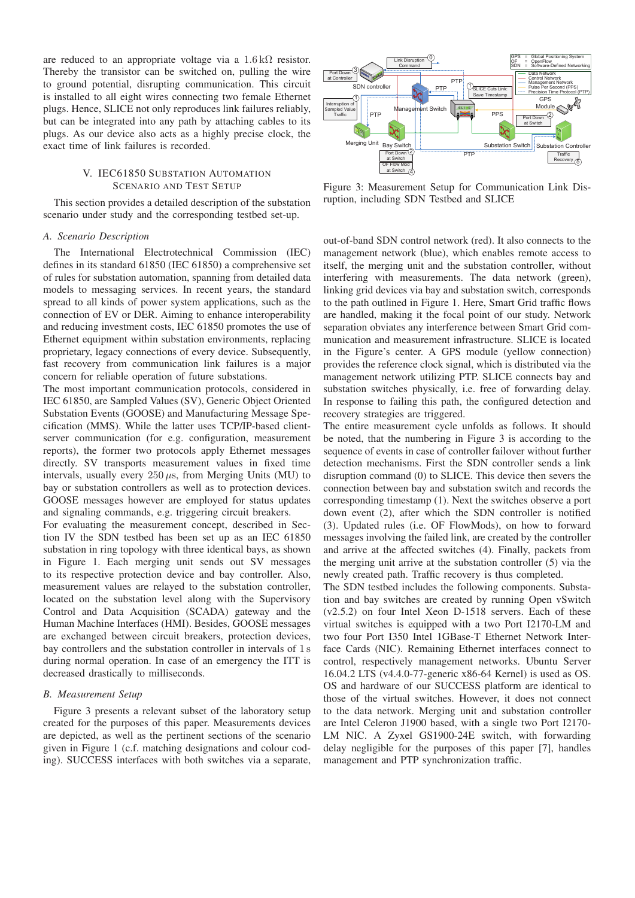are reduced to an appropriate voltage via a  $1.6 \text{ k}\Omega$  resistor. Thereby the transistor can be switched on, pulling the wire to ground potential, disrupting communication. This circuit is installed to all eight wires connecting two female Ethernet plugs. Hence, SLICE not only reproduces link failures reliably, but can be integrated into any path by attaching cables to its plugs. As our device also acts as a highly precise clock, the exact time of link failures is recorded.

#### V. IEC61850 SUBSTATION AUTOMATION SCENARIO AND TEST SETUP

This section provides a detailed description of the substation scenario under study and the corresponding testbed set-up.

#### *A. Scenario Description*

The International Electrotechnical Commission (IEC) defines in its standard 61850 (IEC 61850) a comprehensive set of rules for substation automation, spanning from detailed data models to messaging services. In recent years, the standard spread to all kinds of power system applications, such as the connection of EV or DER. Aiming to enhance interoperability and reducing investment costs, IEC 61850 promotes the use of Ethernet equipment within substation environments, replacing proprietary, legacy connections of every device. Subsequently, fast recovery from communication link failures is a major concern for reliable operation of future substations.

The most important communication protocols, considered in IEC 61850, are Sampled Values (SV), Generic Object Oriented Substation Events (GOOSE) and Manufacturing Message Specification (MMS). While the latter uses TCP/IP-based clientserver communication (for e.g. configuration, measurement reports), the former two protocols apply Ethernet messages directly. SV transports measurement values in fixed time intervals, usually every  $250 \mu s$ , from Merging Units (MU) to bay or substation controllers as well as to protection devices. GOOSE messages however are employed for status updates and signaling commands, e.g. triggering circuit breakers.

For evaluating the measurement concept, described in Section IV the SDN testbed has been set up as an IEC 61850 substation in ring topology with three identical bays, as shown in Figure 1. Each merging unit sends out SV messages to its respective protection device and bay controller. Also, measurement values are relayed to the substation controller, located on the substation level along with the Supervisory Control and Data Acquisition (SCADA) gateway and the Human Machine Interfaces (HMI). Besides, GOOSE messages are exchanged between circuit breakers, protection devices, bay controllers and the substation controller in intervals of 1 s during normal operation. In case of an emergency the ITT is decreased drastically to milliseconds.

#### *B. Measurement Setup*

Figure 3 presents a relevant subset of the laboratory setup created for the purposes of this paper. Measurements devices are depicted, as well as the pertinent sections of the scenario given in Figure 1 (c.f. matching designations and colour coding). SUCCESS interfaces with both switches via a separate,



Figure 3: Measurement Setup for Communication Link Disruption, including SDN Testbed and SLICE

out-of-band SDN control network (red). It also connects to the management network (blue), which enables remote access to itself, the merging unit and the substation controller, without interfering with measurements. The data network (green), linking grid devices via bay and substation switch, corresponds to the path outlined in Figure 1. Here, Smart Grid traffic flows are handled, making it the focal point of our study. Network separation obviates any interference between Smart Grid communication and measurement infrastructure. SLICE is located in the Figure's center. A GPS module (yellow connection) provides the reference clock signal, which is distributed via the management network utilizing PTP. SLICE connects bay and substation switches physically, i.e. free of forwarding delay. In response to failing this path, the configured detection and recovery strategies are triggered.

The entire measurement cycle unfolds as follows. It should be noted, that the numbering in Figure 3 is according to the sequence of events in case of controller failover without further detection mechanisms. First the SDN controller sends a link disruption command (0) to SLICE. This device then severs the connection between bay and substation switch and records the corresponding timestamp (1). Next the switches observe a port down event (2), after which the SDN controller is notified (3). Updated rules (i.e. OF FlowMods), on how to forward messages involving the failed link, are created by the controller and arrive at the affected switches (4). Finally, packets from the merging unit arrive at the substation controller (5) via the newly created path. Traffic recovery is thus completed.

The SDN testbed includes the following components. Substation and bay switches are created by running Open vSwitch (v2.5.2) on four Intel Xeon D-1518 servers. Each of these virtual switches is equipped with a two Port I2170-LM and two four Port I350 Intel 1GBase-T Ethernet Network Interface Cards (NIC). Remaining Ethernet interfaces connect to control, respectively management networks. Ubuntu Server 16.04.2 LTS (v4.4.0-77-generic x86-64 Kernel) is used as OS. OS and hardware of our SUCCESS platform are identical to those of the virtual switches. However, it does not connect to the data network. Merging unit and substation controller are Intel Celeron J1900 based, with a single two Port I2170- LM NIC. A Zyxel GS1900-24E switch, with forwarding delay negligible for the purposes of this paper [7], handles management and PTP synchronization traffic.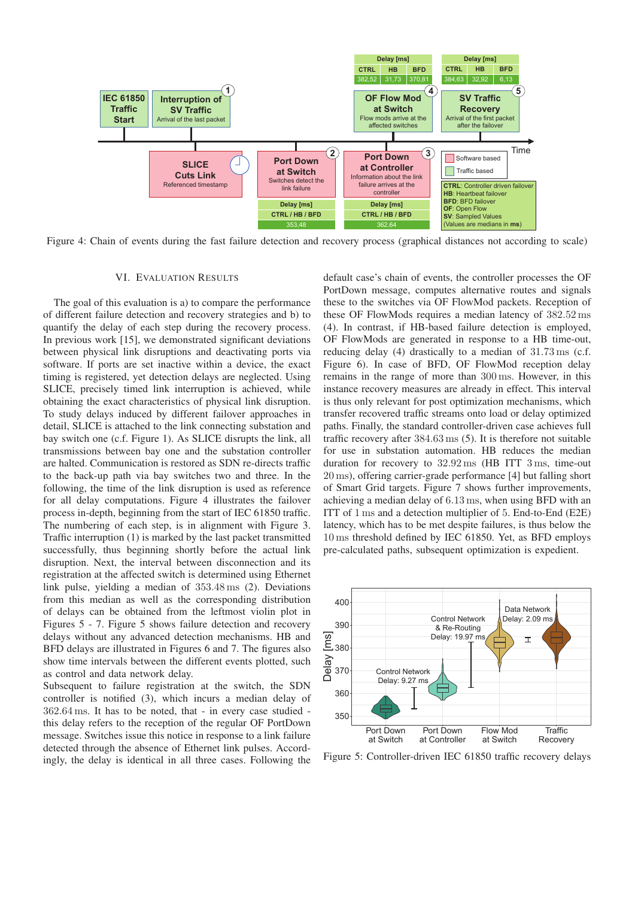

Figure 4: Chain of events during the fast failure detection and recovery process (graphical distances not according to scale)

#### VI. EVALUATION RESULTS

The goal of this evaluation is a) to compare the performance of different failure detection and recovery strategies and b) to quantify the delay of each step during the recovery process. In previous work [15], we demonstrated significant deviations between physical link disruptions and deactivating ports via software. If ports are set inactive within a device, the exact timing is registered, yet detection delays are neglected. Using SLICE, precisely timed link interruption is achieved, while obtaining the exact characteristics of physical link disruption. To study delays induced by different failover approaches in detail, SLICE is attached to the link connecting substation and bay switch one (c.f. Figure 1). As SLICE disrupts the link, all transmissions between bay one and the substation controller are halted. Communication is restored as SDN re-directs traffic to the back-up path via bay switches two and three. In the following, the time of the link disruption is used as reference for all delay computations. Figure 4 illustrates the failover process in-depth, beginning from the start of IEC 61850 traffic. The numbering of each step, is in alignment with Figure 3. Traffic interruption (1) is marked by the last packet transmitted successfully, thus beginning shortly before the actual link disruption. Next, the interval between disconnection and its registration at the affected switch is determined using Ethernet link pulse, yielding a median of 353.48 ms (2). Deviations from this median as well as the corresponding distribution of delays can be obtained from the leftmost violin plot in Figures 5 - 7. Figure 5 shows failure detection and recovery delays without any advanced detection mechanisms. HB and BFD delays are illustrated in Figures 6 and 7. The figures also show time intervals between the different events plotted, such as control and data network delay.

Subsequent to failure registration at the switch, the SDN controller is notified (3), which incurs a median delay of 362.64 ms. It has to be noted, that - in every case studied this delay refers to the reception of the regular OF PortDown message. Switches issue this notice in response to a link failure detected through the absence of Ethernet link pulses. Accordingly, the delay is identical in all three cases. Following the

default case's chain of events, the controller processes the OF PortDown message, computes alternative routes and signals these to the switches via OF FlowMod packets. Reception of these OF FlowMods requires a median latency of 382.52 ms (4). In contrast, if HB-based failure detection is employed, OF FlowMods are generated in response to a HB time-out, reducing delay (4) drastically to a median of 31.73 ms (c.f. Figure 6). In case of BFD, OF FlowMod reception delay remains in the range of more than 300 ms. However, in this instance recovery measures are already in effect. This interval is thus only relevant for post optimization mechanisms, which transfer recovered traffic streams onto load or delay optimized paths. Finally, the standard controller-driven case achieves full traffic recovery after 384.63 ms (5). It is therefore not suitable for use in substation automation. HB reduces the median duration for recovery to 32.92 ms (HB ITT 3 ms, time-out 20 ms), offering carrier-grade performance [4] but falling short of Smart Grid targets. Figure 7 shows further improvements, achieving a median delay of 6.13 ms, when using BFD with an ITT of 1 ms and a detection multiplier of 5. End-to-End (E2E) latency, which has to be met despite failures, is thus below the 10 ms threshold defined by IEC 61850. Yet, as BFD employs pre-calculated paths, subsequent optimization is expedient.



Figure 5: Controller-driven IEC 61850 traffic recovery delays